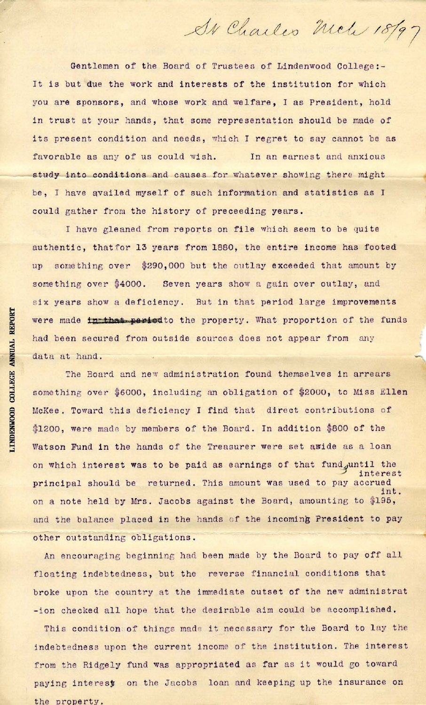Gentlemen of the Board of Trustees of Lindenwood College:-It is but due the work and interests of the institution for which you are sponsors, and whose work and welfare, I as President, hold in trust at your hands, that some representation should be made of its present condition and needs, which I regret to say cannot be as favorable as any of us could wish. In an earnest and anxious study into conditions and causes for whatever showing there might be , I have qVailed myself of such information and statistics as I could gather from the history of preceeding years.

Ar Charles Mel 18/97

I have gleaned from reports on file which seem to be quite authentic, thatfor 13 years from 1880, the entire income has footed up something over \$290,000 but the outlay exceeded that amount by something over \$4000. Seven years show a gain over outlay, and six years show a deficiency. But in that period large improvements were made *in that period* to the property. What proportion of the funds had been secured from outside sources does not appear from any data at hand.

The Board and new administration found themselves in arrears something over \$6000, including an obligation of \$2000, to Miss Ellen McKee. Toward this deficiency I find that direct contributions of \$1200, were made by members of the Board. In addition \$800 of the Watson Fund in the hands of the Treasurer were set aside as a loan on which interest was to be paid as earnings of that fund until the *..J* inte rest principal should be returned. This amount was used to pay accrued int. on a note held by Mrs. Jacobs against the Board, amounting to \$195, and the balance placed in the hands of the incoming President to pay other outstanding obligations.

An encouraging beginning had been made by the Board to pay off all floating indebtedness, but the reverse financial conditions that broke upon the country at the immediate outset of the new administrat -ion checked all hope that the desirable aim could be accomplished.

This condition of things made it necessary for the Board to lay the indebt edness upon the current income of the institution. The interest from the Ridgely fund was appropriated as far as it would go toward paying interest on the Jacobs loan and keeping up the insurance on the property.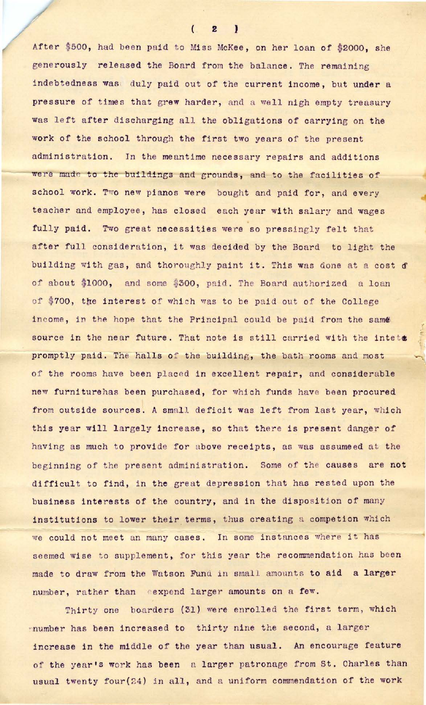After \$500, had been paid to Miss McKee, on her loan of \$2000, she generously released the Board from the balance. The remaining indebtedness was duly paid out of the current income, but under a pressure of times that grew harder, and a well nigh empty treasury was left after discharging all the obligations of carrying on the work of the school through the first two years of the present administration. In the meantime necessary repairs and additions were made to the buildings and grounds, and to the facilities of school work. Two new pianos were bought and paid for, and every teacher and employee, has closed each year with salary and wages fully paid. Two great necessities were so pressingly felt that after full consideration, it was decided by the Board to light the building with gas, and thoroughly paint it. This was done at a cost of of about \$1000, and some \$300, paid. The Board authorized a loan of \$700, the interest of which was to be paid out of the College income, in the hope that the Principal could be paid from the same source in the near future. That note is still carried with the intets promptly paid. The halls of the building, the bath rooms and most of the rooms have been placed in excellent repair, and considerable new furniturehas been purchased, for which funds have been procured from outside sources. A small deficit was left from last year, which this year will largely increase, so that there is present danger of having as much to provide for above receipts, as was assumeed at the beginning of the present administration. Some of the causes are not difficult to find, in the great depression that has rested upon the business interests of the country, and in the disposition of many institutions to lower their terms, thus creating a competion which we could not meet an many cases. In some instances where it has seemed wise to supplement, for this year the recommendation has been made to draw from the Watson Fund in small amounts to aid a larger number, rather than eexpend larger amounts on a few.

:.:

Thirty one boarders (31) were enrolled the first term, which rnumber has been increased to thirty nine the second, a larger increase in the middle of the year than usual. An encourage feature of the year's work has been a larger patronage from St. Charles than usual twenty four  $(24)$  in all, and a uniform commendation of the work

 $(2)$